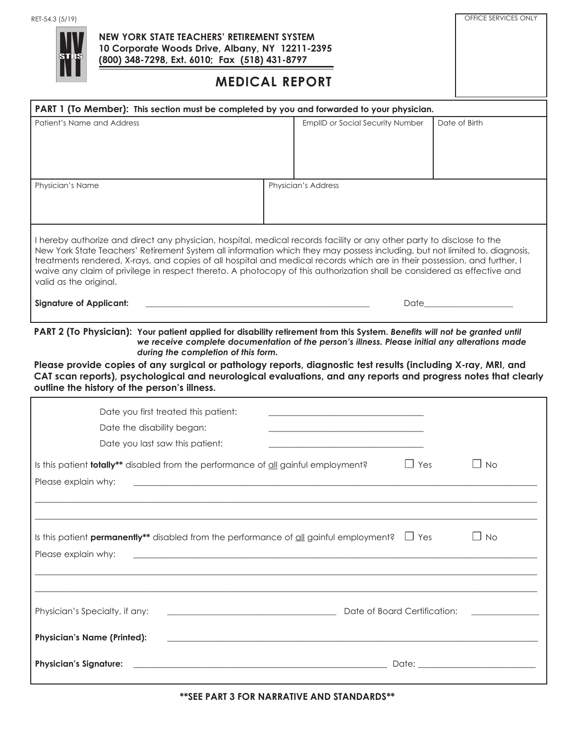

## **NEW YORK STATE TEACHERS' RETIREMENT SYSTEM 10 Corporate Woods Drive, Albany, NY 12211-2395 (800) 348-7298, Ext. 6010; Fax (518) 431-8797**

## **MEDICAL REPORT**

OFFICE SERVICES ONLY

| PART 1 (To Member): This section must be completed by you and forwarded to your physician.                                                                                                                                                                                                                                                                                                                                                                                                                                             |  |                                                                                                                        |            |                                                                                                                                                                                                                                |
|----------------------------------------------------------------------------------------------------------------------------------------------------------------------------------------------------------------------------------------------------------------------------------------------------------------------------------------------------------------------------------------------------------------------------------------------------------------------------------------------------------------------------------------|--|------------------------------------------------------------------------------------------------------------------------|------------|--------------------------------------------------------------------------------------------------------------------------------------------------------------------------------------------------------------------------------|
| Patient's Name and Address                                                                                                                                                                                                                                                                                                                                                                                                                                                                                                             |  | EmplID or Social Security Number                                                                                       |            | Date of Birth                                                                                                                                                                                                                  |
|                                                                                                                                                                                                                                                                                                                                                                                                                                                                                                                                        |  |                                                                                                                        |            |                                                                                                                                                                                                                                |
| Physician's Name                                                                                                                                                                                                                                                                                                                                                                                                                                                                                                                       |  | Physician's Address                                                                                                    |            |                                                                                                                                                                                                                                |
|                                                                                                                                                                                                                                                                                                                                                                                                                                                                                                                                        |  |                                                                                                                        |            |                                                                                                                                                                                                                                |
| I hereby authorize and direct any physician, hospital, medical records facility or any other party to disclose to the<br>New York State Teachers' Retirement System all information which they may possess including, but not limited to, diagnosis,<br>treatments rendered, X-rays, and copies of all hospital and medical records which are in their possession, and further, I<br>waive any claim of privilege in respect thereto. A photocopy of this authorization shall be considered as effective and<br>valid as the original. |  |                                                                                                                        |            |                                                                                                                                                                                                                                |
| <b>Signature of Applicant:</b>                                                                                                                                                                                                                                                                                                                                                                                                                                                                                                         |  |                                                                                                                        |            | Date and the state of the state of the state of the state of the state of the state of the state of the state of the state of the state of the state of the state of the state of the state of the state of the state of the s |
| PART 2 (To Physician): Your patient applied for disability retirement from this System. Benefits will not be granted until<br>we receive complete documentation of the person's illness. Please initial any alterations made<br>during the completion of this form.                                                                                                                                                                                                                                                                    |  |                                                                                                                        |            |                                                                                                                                                                                                                                |
| Please provide copies of any surgical or pathology reports, diagnostic test results (including X-ray, MRI, and<br>CAT scan reports), psychological and neurological evaluations, and any reports and progress notes that clearly<br>outline the history of the person's illness.                                                                                                                                                                                                                                                       |  |                                                                                                                        |            |                                                                                                                                                                                                                                |
| Date you first treated this patient:                                                                                                                                                                                                                                                                                                                                                                                                                                                                                                   |  |                                                                                                                        |            |                                                                                                                                                                                                                                |
| Date the disability began:                                                                                                                                                                                                                                                                                                                                                                                                                                                                                                             |  |                                                                                                                        |            |                                                                                                                                                                                                                                |
| Date you last saw this patient:                                                                                                                                                                                                                                                                                                                                                                                                                                                                                                        |  |                                                                                                                        |            |                                                                                                                                                                                                                                |
| Is this patient <b>totally**</b> disabled from the performance of all gainful employment?                                                                                                                                                                                                                                                                                                                                                                                                                                              |  |                                                                                                                        | $\Box$ Yes | $\Box$ No                                                                                                                                                                                                                      |
| Please explain why:                                                                                                                                                                                                                                                                                                                                                                                                                                                                                                                    |  |                                                                                                                        |            |                                                                                                                                                                                                                                |
|                                                                                                                                                                                                                                                                                                                                                                                                                                                                                                                                        |  |                                                                                                                        |            |                                                                                                                                                                                                                                |
| Is this patient <b>permanently**</b> disabled from the performance of $\underline{\text{all}}$ gainful employment? $\Box$ Yes<br>Please explain why:                                                                                                                                                                                                                                                                                                                                                                                   |  |                                                                                                                        |            | $\Box$ No                                                                                                                                                                                                                      |
|                                                                                                                                                                                                                                                                                                                                                                                                                                                                                                                                        |  |                                                                                                                        |            |                                                                                                                                                                                                                                |
| Physician's Specialty, if any:                                                                                                                                                                                                                                                                                                                                                                                                                                                                                                         |  | Date of Board Certification:                                                                                           |            |                                                                                                                                                                                                                                |
| <b>Physician's Name (Printed):</b>                                                                                                                                                                                                                                                                                                                                                                                                                                                                                                     |  | <u> 1989 - Johann Stoff, deutscher Stoffen und der Stoffen und der Stoffen und der Stoffen und der Stoffen und der</u> |            |                                                                                                                                                                                                                                |
| <b>Physician's Signature:</b><br><u> 1989 - Johann Barn, mars and de Brasilian (b. 1989)</u>                                                                                                                                                                                                                                                                                                                                                                                                                                           |  |                                                                                                                        |            |                                                                                                                                                                                                                                |